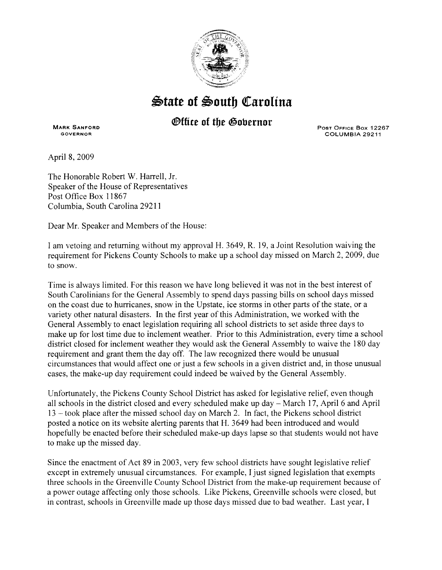

## $\bigcirc$ tate of South Carolina

## *®ffice of the Gobernor*

**MARK SANFORD**  GOVERNOR

Post Office Box 12267 COLUMBIA 29211

April 8, 2009

The Honorable Robert W. Harrell, Jr. Speaker of the House of Representatives Post Office Box 11867 Columbia, South Carolina 29211

Dear Mr. Speaker and Members of the House:

I am vetoing and returning without my approval H. 3649, R. 19, a Joint Resolution waiving the requirement for Pickens County Schools to make up a school day missed on March 2, 2009, due to snow.

Time is always limited. For this reason we have long believed it was not in the best interest of South Carolinians for the General Assembly to spend days passing bills on school days missed on the coast due to hurricanes, snow in the Upstate, ice storms in other parts of the state, or a variety other natural disasters. In the first year of this Administration, we worked with the General Assembly to enact legislation requiring all school districts to set aside three days to make up for lost time due to inclement weather. Prior to this Administration, every time a school district closed for inclement weather they would ask the General Assembly to waive the 180 day requirement and grant them the day off. The law recognized there would be unusual circumstances that would affect one or just a few schools in a given district and, in those unusual cases, the make-up day requirement could indeed be waived by the General Assembly.

Unfortunately, the Pickens County School District has asked for legislative relief, even though all schools in the district closed and every scheduled make up day- March 17, April 6 and April 13 -took place after the missed school day on March 2. In fact, the Pickens school district posted a notice on its website alerting parents that H. 3649 had been introduced and would hopefully be enacted before their scheduled make-up days lapse so that students would not have to make up the missed day.

Since the enactment of Act 89 in 2003, very few school districts have sought legislative relief except in extremely unusual circumstances. For example, I just signed legislation that exempts three schools in the Greenville County School District from the make-up requirement because of a power outage affecting only those schools. Like Pickens, Greenville schools were closed, but in contrast, schools in Greenville made up those days missed due to bad weather. Last year, I